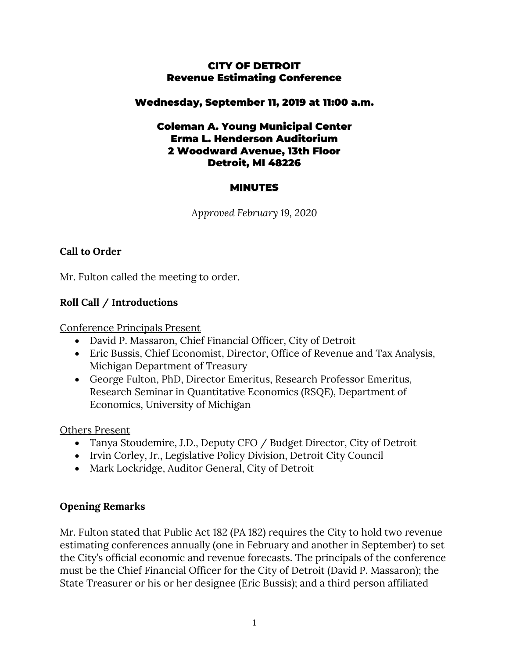### CITY OF DETROIT Revenue Estimating Conference

### Wednesday, September 11, 2019 at 11:00 a.m.

### Coleman A. Young Municipal Center Erma L. Henderson Auditorium 2 Woodward Avenue, 13th Floor Detroit, MI 48226

## MINUTES

*Approved February 19, 2020*

# **Call to Order**

Mr. Fulton called the meeting to order.

## **Roll Call / Introductions**

Conference Principals Present

- David P. Massaron, Chief Financial Officer, City of Detroit
- Eric Bussis, Chief Economist, Director, Office of Revenue and Tax Analysis, Michigan Department of Treasury
- George Fulton, PhD, Director Emeritus, Research Professor Emeritus, Research Seminar in Quantitative Economics (RSQE), Department of Economics, University of Michigan

Others Present

- Tanya Stoudemire, J.D., Deputy CFO / Budget Director, City of Detroit
- Irvin Corley, Jr., Legislative Policy Division, Detroit City Council
- Mark Lockridge, Auditor General, City of Detroit

### **Opening Remarks**

Mr. Fulton stated that Public Act 182 (PA 182) requires the City to hold two revenue estimating conferences annually (one in February and another in September) to set the City's official economic and revenue forecasts. The principals of the conference must be the Chief Financial Officer for the City of Detroit (David P. Massaron); the State Treasurer or his or her designee (Eric Bussis); and a third person affiliated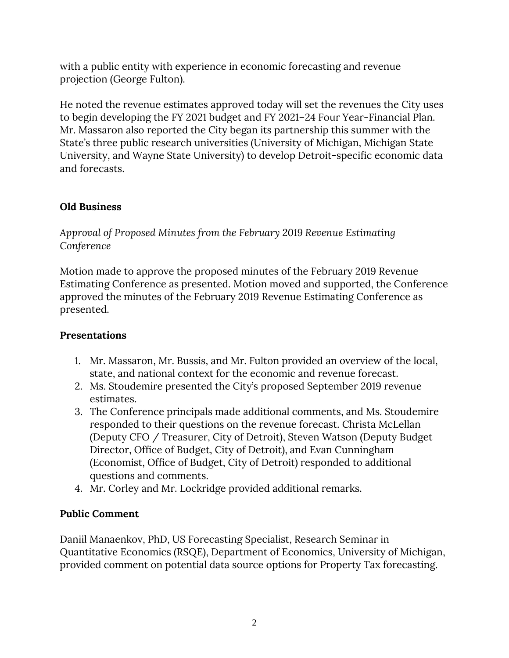with a public entity with experience in economic forecasting and revenue projection (George Fulton).

He noted the revenue estimates approved today will set the revenues the City uses to begin developing the FY 2021 budget and FY 2021–24 Four Year-Financial Plan. Mr. Massaron also reported the City began its partnership this summer with the State's three public research universities (University of Michigan, Michigan State University, and Wayne State University) to develop Detroit-specific economic data and forecasts.

## **Old Business**

*Approval of Proposed Minutes from the February 2019 Revenue Estimating Conference*

Motion made to approve the proposed minutes of the February 2019 Revenue Estimating Conference as presented. Motion moved and supported, the Conference approved the minutes of the February 2019 Revenue Estimating Conference as presented.

# **Presentations**

- 1. Mr. Massaron, Mr. Bussis, and Mr. Fulton provided an overview of the local, state, and national context for the economic and revenue forecast.
- 2. Ms. Stoudemire presented the City's proposed September 2019 revenue estimates.
- 3. The Conference principals made additional comments, and Ms. Stoudemire responded to their questions on the revenue forecast. Christa McLellan (Deputy CFO / Treasurer, City of Detroit), Steven Watson (Deputy Budget Director, Office of Budget, City of Detroit), and Evan Cunningham (Economist, Office of Budget, City of Detroit) responded to additional questions and comments.
- 4. Mr. Corley and Mr. Lockridge provided additional remarks.

### **Public Comment**

Daniil Manaenkov, PhD, US Forecasting Specialist, Research Seminar in Quantitative Economics (RSQE), Department of Economics, University of Michigan, provided comment on potential data source options for Property Tax forecasting.